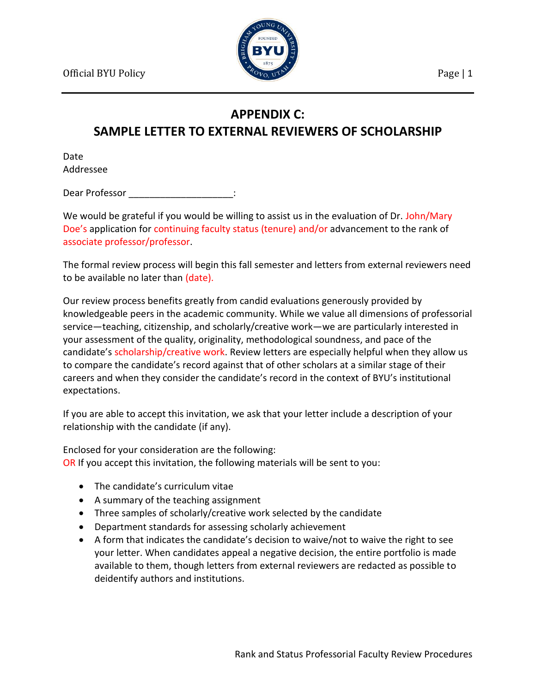

## **APPENDIX C:**

## **SAMPLE LETTER TO EXTERNAL REVIEWERS OF SCHOLARSHIP**

Date Addressee

Dear Professor **and Europe and Security** Dear Professor

We would be grateful if you would be willing to assist us in the evaluation of Dr. John/Mary Doe's application for continuing faculty status (tenure) and/or advancement to the rank of associate professor/professor.

The formal review process will begin this fall semester and letters from external reviewers need to be available no later than (date).

Our review process benefits greatly from candid evaluations generously provided by knowledgeable peers in the academic community. While we value all dimensions of professorial service—teaching, citizenship, and scholarly/creative work—we are particularly interested in your assessment of the quality, originality, methodological soundness, and pace of the candidate's scholarship/creative work. Review letters are especially helpful when they allow us to compare the candidate's record against that of other scholars at a similar stage of their careers and when they consider the candidate's record in the context of BYU's institutional expectations.

If you are able to accept this invitation, we ask that your letter include a description of your relationship with the candidate (if any).

Enclosed for your consideration are the following: OR If you accept this invitation, the following materials will be sent to you:

- The candidate's curriculum vitae
- A summary of the teaching assignment
- Three samples of scholarly/creative work selected by the candidate
- Department standards for assessing scholarly achievement
- A form that indicates the candidate's decision to waive/not to waive the right to see your letter. When candidates appeal a negative decision, the entire portfolio is made available to them, though letters from external reviewers are redacted as possible to deidentify authors and institutions.